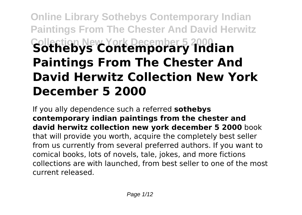# **Online Library Sothebys Contemporary Indian Paintings From The Chester And David Herwitz Collection New York December 5 2000 Sothebys Contemporary Indian Paintings From The Chester And David Herwitz Collection New York December 5 2000**

If you ally dependence such a referred **sothebys contemporary indian paintings from the chester and david herwitz collection new york december 5 2000** book that will provide you worth, acquire the completely best seller from us currently from several preferred authors. If you want to comical books, lots of novels, tale, jokes, and more fictions collections are with launched, from best seller to one of the most current released.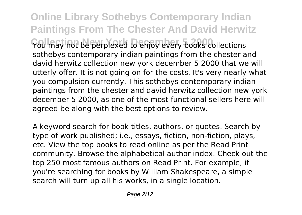**Online Library Sothebys Contemporary Indian Paintings From The Chester And David Herwitz You may not be perplexed to enjoy every books collections** sothebys contemporary indian paintings from the chester and david herwitz collection new york december 5 2000 that we will utterly offer. It is not going on for the costs. It's very nearly what you compulsion currently. This sothebys contemporary indian paintings from the chester and david herwitz collection new york december 5 2000, as one of the most functional sellers here will agreed be along with the best options to review.

A keyword search for book titles, authors, or quotes. Search by type of work published; i.e., essays, fiction, non-fiction, plays, etc. View the top books to read online as per the Read Print community. Browse the alphabetical author index. Check out the top 250 most famous authors on Read Print. For example, if you're searching for books by William Shakespeare, a simple search will turn up all his works, in a single location.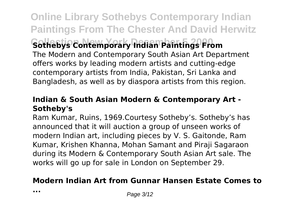**Online Library Sothebys Contemporary Indian Paintings From The Chester And David Herwitz Collection New York December 5 2000 Sothebys Contemporary Indian Paintings From** The Modern and Contemporary South Asian Art Department offers works by leading modern artists and cutting-edge contemporary artists from India, Pakistan, Sri Lanka and Bangladesh, as well as by diaspora artists from this region.

## **Indian & South Asian Modern & Contemporary Art - Sotheby's**

Ram Kumar, Ruins, 1969.Courtesy Sotheby's. Sotheby's has announced that it will auction a group of unseen works of modern Indian art, including pieces by V. S. Gaitonde, Ram Kumar, Krishen Khanna, Mohan Samant and Piraji Sagaraon during its Modern & Contemporary South Asian Art sale. The works will go up for sale in London on September 29.

## **Modern Indian Art from Gunnar Hansen Estate Comes to**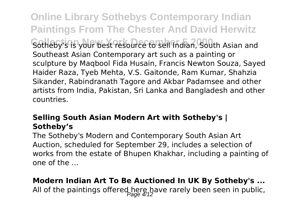**Online Library Sothebys Contemporary Indian Paintings From The Chester And David Herwitz** Sotheby's is your best resource to sell Indian, South Asian and Southeast Asian Contemporary art such as a painting or sculpture by Maqbool Fida Husain, Francis Newton Souza, Sayed Haider Raza, Tyeb Mehta, V.S. Gaitonde, Ram Kumar, Shahzia Sikander, Rabindranath Tagore and Akbar Padamsee and other artists from India, Pakistan, Sri Lanka and Bangladesh and other countries.

## **Selling South Asian Modern Art with Sotheby's | Sotheby's**

The Sotheby's Modern and Contemporary South Asian Art Auction, scheduled for September 29, includes a selection of works from the estate of Bhupen Khakhar, including a painting of one of the ...

## **Modern Indian Art To Be Auctioned In UK By Sotheby's ...**

All of the paintings offered here have rarely been seen in public,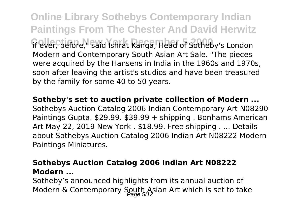**Online Library Sothebys Contemporary Indian Paintings From The Chester And David Herwitz If ever, before, Said Ishrat Kanga, Head of Sotheby's London** Modern and Contemporary South Asian Art Sale. "The pieces were acquired by the Hansens in India in the 1960s and 1970s, soon after leaving the artist's studios and have been treasured by the family for some 40 to 50 years.

**Sotheby's set to auction private collection of Modern ...** Sothebys Auction Catalog 2006 Indian Contemporary Art N08290 Paintings Gupta. \$29.99. \$39.99 + shipping . Bonhams American Art May 22, 2019 New York . \$18.99. Free shipping . ... Details about Sothebys Auction Catalog 2006 Indian Art N08222 Modern Paintings Miniatures.

### **Sothebys Auction Catalog 2006 Indian Art N08222 Modern ...**

Sotheby's announced highlights from its annual auction of Modern & Contemporary South Asian Art which is set to take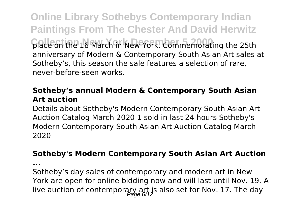**Online Library Sothebys Contemporary Indian Paintings From The Chester And David Herwitz Collection New York December 5 2000** place on the 16 March in New York. Commemorating the 25th anniversary of Modern & Contemporary South Asian Art sales at Sotheby's, this season the sale features a selection of rare, never-before-seen works.

## **Sotheby's annual Modern & Contemporary South Asian Art auction**

Details about Sotheby's Modern Contemporary South Asian Art Auction Catalog March 2020 1 sold in last 24 hours Sotheby's Modern Contemporary South Asian Art Auction Catalog March 2020

## **Sotheby's Modern Contemporary South Asian Art Auction**

**...**

Sotheby's day sales of contemporary and modern art in New York are open for online bidding now and will last until Nov. 19. A live auction of contemporary art is also set for Nov. 17. The day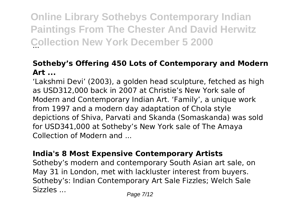**Online Library Sothebys Contemporary Indian Paintings From The Chester And David Herwitz Collection New York December 5 2000** 

## **Sotheby's Offering 450 Lots of Contemporary and Modern Art ...**

'Lakshmi Devi' (2003), a golden head sculpture, fetched as high as USD312,000 back in 2007 at Christie's New York sale of Modern and Contemporary Indian Art. 'Family', a unique work from 1997 and a modern day adaptation of Chola style depictions of Shiva, Parvati and Skanda (Somaskanda) was sold for USD341,000 at Sotheby's New York sale of The Amaya Collection of Modern and ...

## **India's 8 Most Expensive Contemporary Artists**

Sotheby's modern and contemporary South Asian art sale, on May 31 in London, met with lackluster interest from buyers. Sotheby's: Indian Contemporary Art Sale Fizzles; Welch Sale Sizzles ... Page 7/12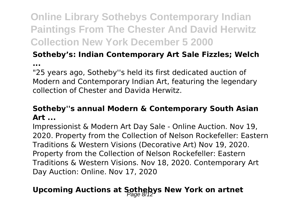## **Online Library Sothebys Contemporary Indian Paintings From The Chester And David Herwitz Collection New York December 5 2000**

## **Sotheby's: Indian Contemporary Art Sale Fizzles; Welch**

**...**

"25 years ago, Sotheby''s held its first dedicated auction of Modern and Contemporary Indian Art, featuring the legendary collection of Chester and Davida Herwitz.

## **Sotheby''s annual Modern & Contemporary South Asian Art ...**

Impressionist & Modern Art Day Sale - Online Auction. Nov 19, 2020. Property from the Collection of Nelson Rockefeller: Eastern Traditions & Western Visions (Decorative Art) Nov 19, 2020. Property from the Collection of Nelson Rockefeller: Eastern Traditions & Western Visions. Nov 18, 2020. Contemporary Art Day Auction: Online. Nov 17, 2020

## **Upcoming Auctions at Sothebys New York on artnet**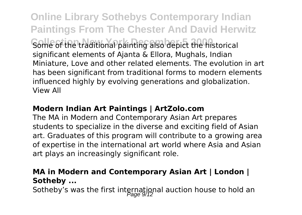**Online Library Sothebys Contemporary Indian Paintings From The Chester And David Herwitz** Some of the traditional painting also depict the historical significant elements of Ajanta & Ellora, Mughals, Indian Miniature, Love and other related elements. The evolution in art has been significant from traditional forms to modern elements influenced highly by evolving generations and globalization. View All

## **Modern Indian Art Paintings | ArtZolo.com**

The MA in Modern and Contemporary Asian Art prepares students to specialize in the diverse and exciting field of Asian art. Graduates of this program will contribute to a growing area of expertise in the international art world where Asia and Asian art plays an increasingly significant role.

## **MA in Modern and Contemporary Asian Art | London | Sotheby ...**

Sotheby's was the first international auction house to hold an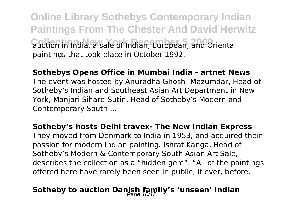**Online Library Sothebys Contemporary Indian Paintings From The Chester And David Herwitz** auction in India, a sale of Indian, European, and Oriental paintings that took place in October 1992.

#### **Sothebys Opens Office in Mumbai India - artnet News**

The event was hosted by Anuradha Ghosh- Mazumdar, Head of Sotheby's Indian and Southeast Asian Art Department in New York, Manjari Sihare-Sutin, Head of Sotheby's Modern and Contemporary South ...

#### **Sotheby's hosts Delhi travex- The New Indian Express**

They moved from Denmark to India in 1953, and acquired their passion for modern Indian painting. Ishrat Kanga, Head of Sotheby's Modern & Contemporary South Asian Art Sale, describes the collection as a "hidden gem". "All of the paintings offered here have rarely been seen in public, if ever, before.

## Sotheby to auction Danish family's 'unseen' Indian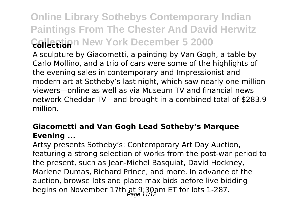## **Online Library Sothebys Contemporary Indian Paintings From The Chester And David Herwitz Collection New York December 5 2000 collection**

A sculpture by Giacometti, a painting by Van Gogh, a table by Carlo Mollino, and a trio of cars were some of the highlights of the evening sales in contemporary and Impressionist and modern art at Sotheby's last night, which saw nearly one million viewers—online as well as via Museum TV and financial news network Cheddar TV—and brought in a combined total of \$283.9 million.

## **Giacometti and Van Gogh Lead Sotheby's Marquee Evening ...**

Artsy presents Sotheby's: Contemporary Art Day Auction, featuring a strong selection of works from the post-war period to the present, such as Jean-Michel Basquiat, David Hockney, Marlene Dumas, Richard Prince, and more. In advance of the auction, browse lots and place max bids before live bidding begins on November 17th at 9:30am ET for lots 1-287.